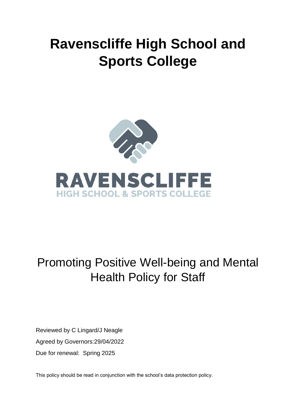# **Ravenscliffe High School and Sports College**



## Promoting Positive Well-being and Mental Health Policy for Staff

Reviewed by C Lingard/J Neagle Agreed by Governors:29/04/2022 Due for renewal: Spring 2025

This policy should be read in conjunction with the school's data protection policy.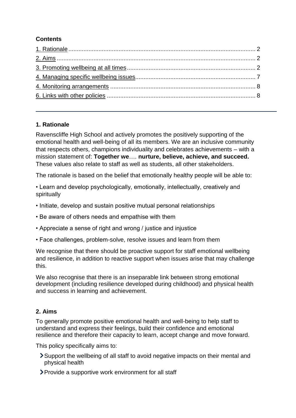## **Contents**

## <span id="page-1-0"></span>**1. Rationale**

Ravenscliffe High School and actively promotes the positively supporting of the emotional health and well-being of all its members. We are an inclusive community that respects others, champions individuality and celebrates achievements – with a mission statement of: **Together we**…. **nurture, believe, achieve, and succeed.**  These values also relate to staff as well as students, all other stakeholders.

The rationale is based on the belief that emotionally healthy people will be able to:

• Learn and develop psychologically, emotionally, intellectually, creatively and spiritually

- Initiate, develop and sustain positive mutual personal relationships
- Be aware of others needs and empathise with them
- Appreciate a sense of right and wrong / justice and injustice
- Face challenges, problem-solve, resolve issues and learn from them

We recognise that there should be proactive support for staff emotional wellbeing and resilience, in addition to reactive support when issues arise that may challenge this.

We also recognise that there is an inseparable link between strong emotional development (including resilience developed during childhood) and physical health and success in learning and achievement.

## <span id="page-1-1"></span>**2. Aims**

To generally promote positive emotional health and well-being to help staff to understand and express their feelings, build their confidence and emotional resilience and therefore their capacity to learn, accept change and move forward.

This policy specifically aims to:

- Support the wellbeing of all staff to avoid negative impacts on their mental and physical health
- Provide a supportive work environment for all staff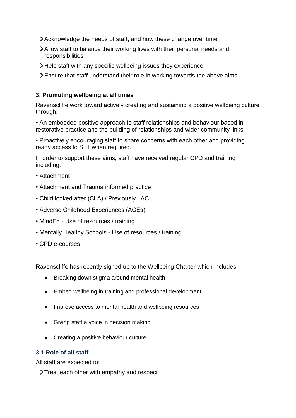- Acknowledge the needs of staff, and how these change over time
- Allow staff to balance their working lives with their personal needs and responsibilities
- Help staff with any specific wellbeing issues they experience
- Ensure that staff understand their role in working towards the above aims

#### **3. Promoting wellbeing at all times**

Ravenscliffe work toward actively creating and sustaining a positive wellbeing culture through:

• An embedded positive approach to staff relationships and behaviour based in restorative practice and the building of relationships and wider community links

• Proactively encouraging staff to share concerns with each other and providing ready access to SLT when required.

In order to support these aims, staff have received regular CPD and training including:

- Attachment
- Attachment and Trauma informed practice
- Child looked after (CLA) / Previously LAC
- Adverse Childhood Experiences (ACEs)
- MindEd Use of resources / training
- Mentally Healthy Schools Use of resources / training
- CPD e-courses

Ravenscliffe has recently signed up to the Wellbeing Charter which includes:

- Breaking down stigma around mental health
- Embed wellbeing in training and professional development
- Improve access to mental health and wellbeing resources
- Giving staff a voice in decision making
- Creating a positive behaviour culture.

#### **3.1 Role of all staff**

All staff are expected to:

> Treat each other with empathy and respect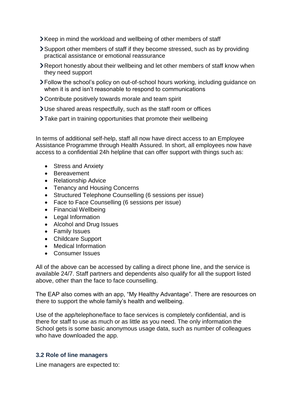- Xeep in mind the workload and wellbeing of other members of staff
- Support other members of staff if they become stressed, such as by providing practical assistance or emotional reassurance
- Report honestly about their wellbeing and let other members of staff know when they need support
- Follow the school's policy on out-of-school hours working, including guidance on when it is and isn't reasonable to respond to communications
- Contribute positively towards morale and team spirit
- Use shared areas respectfully, such as the staff room or offices
- >Take part in training opportunities that promote their wellbeing

In terms of additional self-help, staff all now have direct access to an Employee Assistance Programme through Health Assured. In short, all employees now have access to a confidential 24h helpline that can offer support with things such as:

- Stress and Anxiety
- Bereavement
- Relationship Advice
- Tenancy and Housing Concerns
- Structured Telephone Counselling (6 sessions per issue)
- Face to Face Counselling (6 sessions per issue)
- Financial Wellbeing
- Legal Information
- Alcohol and Drug Issues
- **•** Family Issues
- Childcare Support
- Medical Information
- Consumer Issues

All of the above can be accessed by calling a direct phone line, and the service is available 24/7. Staff partners and dependents also qualify for all the support listed above, other than the face to face counselling.

The EAP also comes with an app, "My Healthy Advantage". There are resources on there to support the whole family's health and wellbeing.

Use of the app/telephone/face to face services is completely confidential, and is there for staff to use as much or as little as you need. The only information the School gets is some basic anonymous usage data, such as number of colleagues who have downloaded the app.

#### **3.2 Role of line managers**

Line managers are expected to: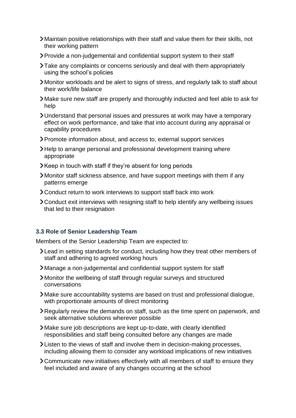- Maintain positive relationships with their staff and value them for their skills, not their working pattern
- Provide a non-judgemental and confidential support system to their staff
- Take any complaints or concerns seriously and deal with them appropriately using the school's policies
- Monitor workloads and be alert to signs of stress, and regularly talk to staff about their work/life balance
- Make sure new staff are properly and thoroughly inducted and feel able to ask for help
- Understand that personal issues and pressures at work may have a temporary effect on work performance, and take that into account during any appraisal or capability procedures
- Promote information about, and access to, external support services
- >Help to arrange personal and professional development training where appropriate
- Keep in touch with staff if they're absent for long periods
- Monitor staff sickness absence, and have support meetings with them if any patterns emerge
- Conduct return to work interviews to support staff back into work
- Conduct exit interviews with resigning staff to help identify any wellbeing issues that led to their resignation

## **3.3 Role of Senior Leadership Team**

Members of the Senior Leadership Team are expected to:

- Lead in setting standards for conduct, including how they treat other members of staff and adhering to agreed working hours
- Manage a non-judgemental and confidential support system for staff
- Monitor the wellbeing of staff through regular surveys and structured conversations
- Make sure accountability systems are based on trust and professional dialogue, with proportionate amounts of direct monitoring
- Regularly review the demands on staff, such as the time spent on paperwork, and seek alternative solutions wherever possible
- Make sure job descriptions are kept up-to-date, with clearly identified responsibilities and staff being consulted before any changes are made
- Listen to the views of staff and involve them in decision-making processes, including allowing them to consider any workload implications of new initiatives
- Communicate new initiatives effectively with all members of staff to ensure they feel included and aware of any changes occurring at the school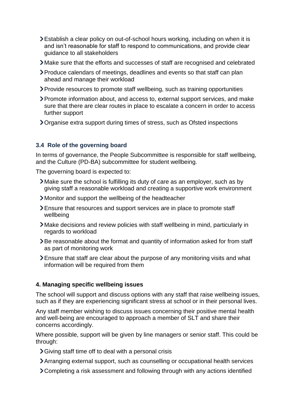- Establish a clear policy on out-of-school hours working, including on when it is and isn't reasonable for staff to respond to communications, and provide clear guidance to all stakeholders
- Make sure that the efforts and successes of staff are recognised and celebrated
- Produce calendars of meetings, deadlines and events so that staff can plan ahead and manage their workload
- Provide resources to promote staff wellbeing, such as training opportunities
- Promote information about, and access to, external support services, and make sure that there are clear routes in place to escalate a concern in order to access further support
- Organise extra support during times of stress, such as Ofsted inspections

## **3.4 Role of the governing board**

In terms of governance, the People Subcommittee is responsible for staff wellbeing, and the Culture (PD-BA) subcommittee for student wellbeing.

The governing board is expected to:

- Make sure the school is fulfilling its duty of care as an employer, such as by giving staff a reasonable workload and creating a supportive work environment
- Monitor and support the wellbeing of the headteacher
- Ensure that resources and support services are in place to promote staff wellbeing
- Make decisions and review policies with staff wellbeing in mind, particularly in regards to workload
- Be reasonable about the format and quantity of information asked for from staff as part of monitoring work
- Ensure that staff are clear about the purpose of any monitoring visits and what information will be required from them

## <span id="page-5-0"></span>**4. Managing specific wellbeing issues**

The school will support and discuss options with any staff that raise wellbeing issues, such as if they are experiencing significant stress at school or in their personal lives.

Any staff member wishing to discuss issues concerning their positive mental health and well-being are encouraged to approach a member of SLT and share their concerns accordingly.

Where possible, support will be given by line managers or senior staff. This could be through:

- Giving staff time off to deal with a personal crisis
- Arranging external support, such as counselling or occupational health services
- Completing a risk assessment and following through with any actions identified